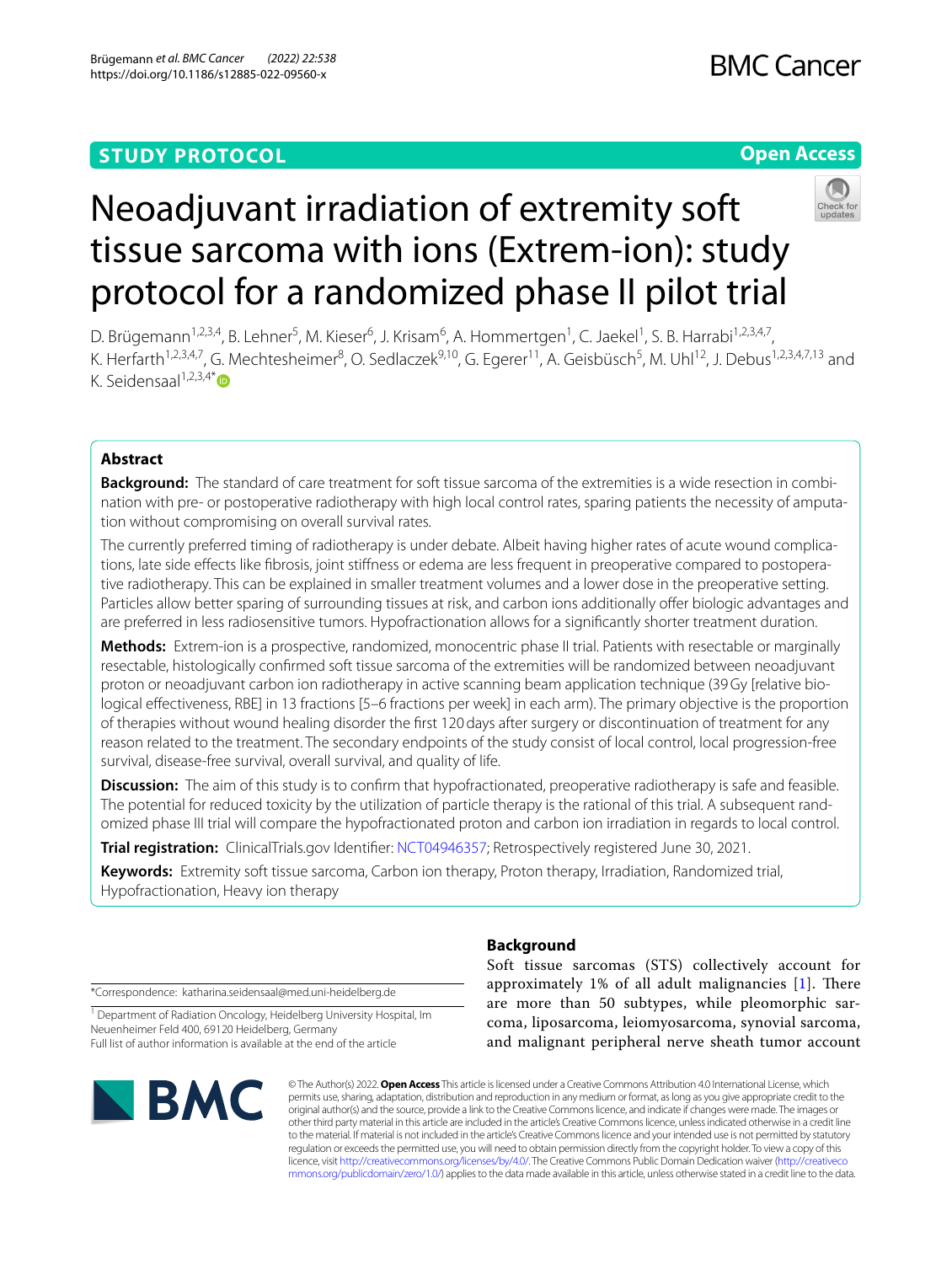## **STUDY PROTOCOL**

## **Open Access**



# Neoadjuvant irradiation of extremity soft tissue sarcoma with ions (Extrem-ion): study protocol for a randomized phase II pilot trial

D. Brügemann<sup>1,2,3,4</sup>, B. Lehner<sup>5</sup>, M. Kieser<sup>6</sup>, J. Krisam<sup>6</sup>, A. Hommertgen<sup>1</sup>, C. Jaekel<sup>1</sup>, S. B. Harrabi<sup>1,2,3,4,7</sup>, K. Herfarth<sup>1,2,3,4,7</sup>, G. Mechtesheimer<sup>8</sup>, O. Sedlaczek<sup>9,10</sup>, G. Egerer<sup>11</sup>, A. Geisbüsch<sup>5</sup>, M. Uhl<sup>12</sup>, J. Debus<sup>1,2,3,4,7,13</sup> and K. Seidensaal $1,2,3,4^*$ 

## **Abstract**

**Background:** The standard of care treatment for soft tissue sarcoma of the extremities is a wide resection in combination with pre- or postoperative radiotherapy with high local control rates, sparing patients the necessity of amputation without compromising on overall survival rates.

The currently preferred timing of radiotherapy is under debate. Albeit having higher rates of acute wound complications, late side effects like fibrosis, joint stiffness or edema are less frequent in preoperative compared to postoperative radiotherapy. This can be explained in smaller treatment volumes and a lower dose in the preoperative setting. Particles allow better sparing of surrounding tissues at risk, and carbon ions additionally offer biologic advantages and are preferred in less radiosensitive tumors. Hypofractionation allows for a signifcantly shorter treatment duration.

**Methods:** Extrem-ion is a prospective, randomized, monocentric phase II trial. Patients with resectable or marginally resectable, histologically confrmed soft tissue sarcoma of the extremities will be randomized between neoadjuvant proton or neoadjuvant carbon ion radiotherapy in active scanning beam application technique (39Gy [relative biological efectiveness, RBE] in 13 fractions [5–6 fractions per week] in each arm). The primary objective is the proportion of therapies without wound healing disorder the frst 120days after surgery or discontinuation of treatment for any reason related to the treatment. The secondary endpoints of the study consist of local control, local progression-free survival, disease-free survival, overall survival, and quality of life.

**Discussion:** The aim of this study is to confrm that hypofractionated, preoperative radiotherapy is safe and feasible. The potential for reduced toxicity by the utilization of particle therapy is the rational of this trial. A subsequent randomized phase III trial will compare the hypofractionated proton and carbon ion irradiation in regards to local control.

**Trial registration:** ClinicalTrials.gov Identifer: [NCT04946357;](https://clinicaltrials.gov/ct2/show/NCT04946357) Retrospectively registered June 30, 2021.

**Keywords:** Extremity soft tissue sarcoma, Carbon ion therapy, Proton therapy, Irradiation, Randomized trial, Hypofractionation, Heavy ion therapy

\*Correspondence: katharina.seidensaal@med.uni-heidelberg.de

<sup>1</sup> Department of Radiation Oncology, Heidelberg University Hospital, Im Neuenheimer Feld 400, 69120 Heidelberg, Germany Full list of author information is available at the end of the article



## **Background**

Soft tissue sarcomas (STS) collectively account for approximately  $1\%$  of all adult malignancies  $[1]$  $[1]$ . There are more than 50 subtypes, while pleomorphic sarcoma, liposarcoma, leiomyosarcoma, synovial sarcoma, and malignant peripheral nerve sheath tumor account

© The Author(s) 2022. **Open Access** This article is licensed under a Creative Commons Attribution 4.0 International License, which permits use, sharing, adaptation, distribution and reproduction in any medium or format, as long as you give appropriate credit to the original author(s) and the source, provide a link to the Creative Commons licence, and indicate if changes were made. The images or other third party material in this article are included in the article's Creative Commons licence, unless indicated otherwise in a credit line to the material. If material is not included in the article's Creative Commons licence and your intended use is not permitted by statutory regulation or exceeds the permitted use, you will need to obtain permission directly from the copyright holder. To view a copy of this licence, visit [http://creativecommons.org/licenses/by/4.0/.](http://creativecommons.org/licenses/by/4.0/) The Creative Commons Public Domain Dedication waiver ([http://creativeco](http://creativecommons.org/publicdomain/zero/1.0/) [mmons.org/publicdomain/zero/1.0/](http://creativecommons.org/publicdomain/zero/1.0/)) applies to the data made available in this article, unless otherwise stated in a credit line to the data.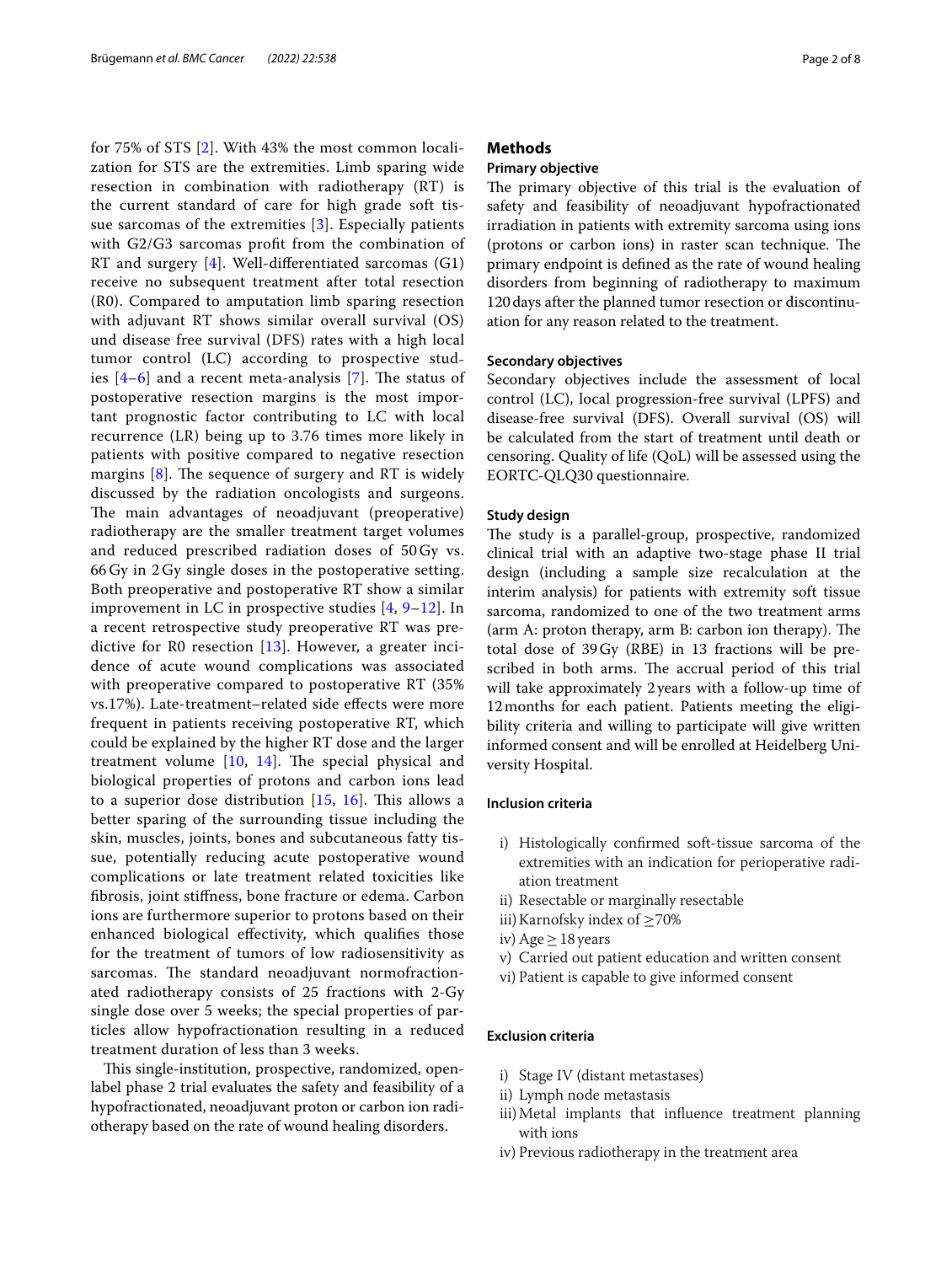for 75% of STS [[2](#page-7-1)]. With 43% the most common localization for STS are the extremities. Limb sparing wide resection in combination with radiotherapy (RT) is the current standard of care for high grade soft tissue sarcomas of the extremities [[3\]](#page-7-2). Especially patients with G2/G3 sarcomas proft from the combination of RT and surgery  $[4]$  $[4]$ . Well-differentiated sarcomas  $(G1)$ receive no subsequent treatment after total resection (R0). Compared to amputation limb sparing resection with adjuvant RT shows similar overall survival (OS) und disease free survival (DFS) rates with a high local tumor control (LC) according to prospective studies  $[4-6]$  $[4-6]$  $[4-6]$  $[4-6]$  $[4-6]$  and a recent meta-analysis [\[7](#page-7-5)]. The status of postoperative resection margins is the most important prognostic factor contributing to LC with local recurrence (LR) being up to 3.76 times more likely in patients with positive compared to negative resection margins  $[8]$  $[8]$ . The sequence of surgery and RT is widely discussed by the radiation oncologists and surgeons. The main advantages of neoadjuvant (preoperative) radiotherapy are the smaller treatment target volumes and reduced prescribed radiation doses of 50 Gy vs. 66 Gy in 2 Gy single doses in the postoperative setting. Both preoperative and postoperative RT show a similar improvement in LC in prospective studies [[4,](#page-7-3) [9–](#page-7-7)[12](#page-7-8)]. In a recent retrospective study preoperative RT was predictive for R0 resection [[13](#page-7-9)]. However, a greater incidence of acute wound complications was associated with preoperative compared to postoperative RT (35% vs.17%). Late-treatment–related side efects were more frequent in patients receiving postoperative RT, which could be explained by the higher RT dose and the larger treatment volume  $[10, 14]$  $[10, 14]$  $[10, 14]$  $[10, 14]$  $[10, 14]$ . The special physical and biological properties of protons and carbon ions lead to a superior dose distribution  $[15, 16]$  $[15, 16]$  $[15, 16]$  $[15, 16]$  $[15, 16]$ . This allows a better sparing of the surrounding tissue including the skin, muscles, joints, bones and subcutaneous fatty tissue, potentially reducing acute postoperative wound complications or late treatment related toxicities like fbrosis, joint stifness, bone fracture or edema. Carbon ions are furthermore superior to protons based on their enhanced biological efectivity, which qualifes those for the treatment of tumors of low radiosensitivity as sarcomas. The standard neoadjuvant normofractionated radiotherapy consists of 25 fractions with 2-Gy single dose over 5 weeks; the special properties of particles allow hypofractionation resulting in a reduced treatment duration of less than 3 weeks.

This single-institution, prospective, randomized, openlabel phase 2 trial evaluates the safety and feasibility of a hypofractionated, neoadjuvant proton or carbon ion radiotherapy based on the rate of wound healing disorders.

#### **Methods**

#### **Primary objective**

The primary objective of this trial is the evaluation of safety and feasibility of neoadjuvant hypofractionated irradiation in patients with extremity sarcoma using ions (protons or carbon ions) in raster scan technique. The primary endpoint is defned as the rate of wound healing disorders from beginning of radiotherapy to maximum 120days after the planned tumor resection or discontinuation for any reason related to the treatment.

#### **Secondary objectives**

Secondary objectives include the assessment of local control (LC), local progression-free survival (LPFS) and disease-free survival (DFS). Overall survival (OS) will be calculated from the start of treatment until death or censoring. Quality of life (QoL) will be assessed using the EORTC-QLQ30 questionnaire.

#### **Study design**

The study is a parallel-group, prospective, randomized clinical trial with an adaptive two-stage phase II trial design (including a sample size recalculation at the interim analysis) for patients with extremity soft tissue sarcoma, randomized to one of the two treatment arms  $\alpha$  (arm A: proton therapy, arm B: carbon ion therapy). The total dose of 39Gy (RBE) in 13 fractions will be prescribed in both arms. The accrual period of this trial will take approximately 2years with a follow-up time of 12months for each patient. Patients meeting the eligibility criteria and willing to participate will give written informed consent and will be enrolled at Heidelberg University Hospital.

#### **Inclusion criteria**

- i) Histologically confrmed soft-tissue sarcoma of the extremities with an indication for perioperative radiation treatment
- ii) Resectable or marginally resectable
- iii) Karnofsky index of  $\geq$ 70%
- iv) Age  $\geq$  18 years
- v) Carried out patient education and written consent
- vi) Patient is capable to give informed consent

#### **Exclusion criteria**

- i) Stage IV (distant metastases)
- ii) Lymph node metastasis
- iii)Metal implants that infuence treatment planning with ions
- iv) Previous radiotherapy in the treatment area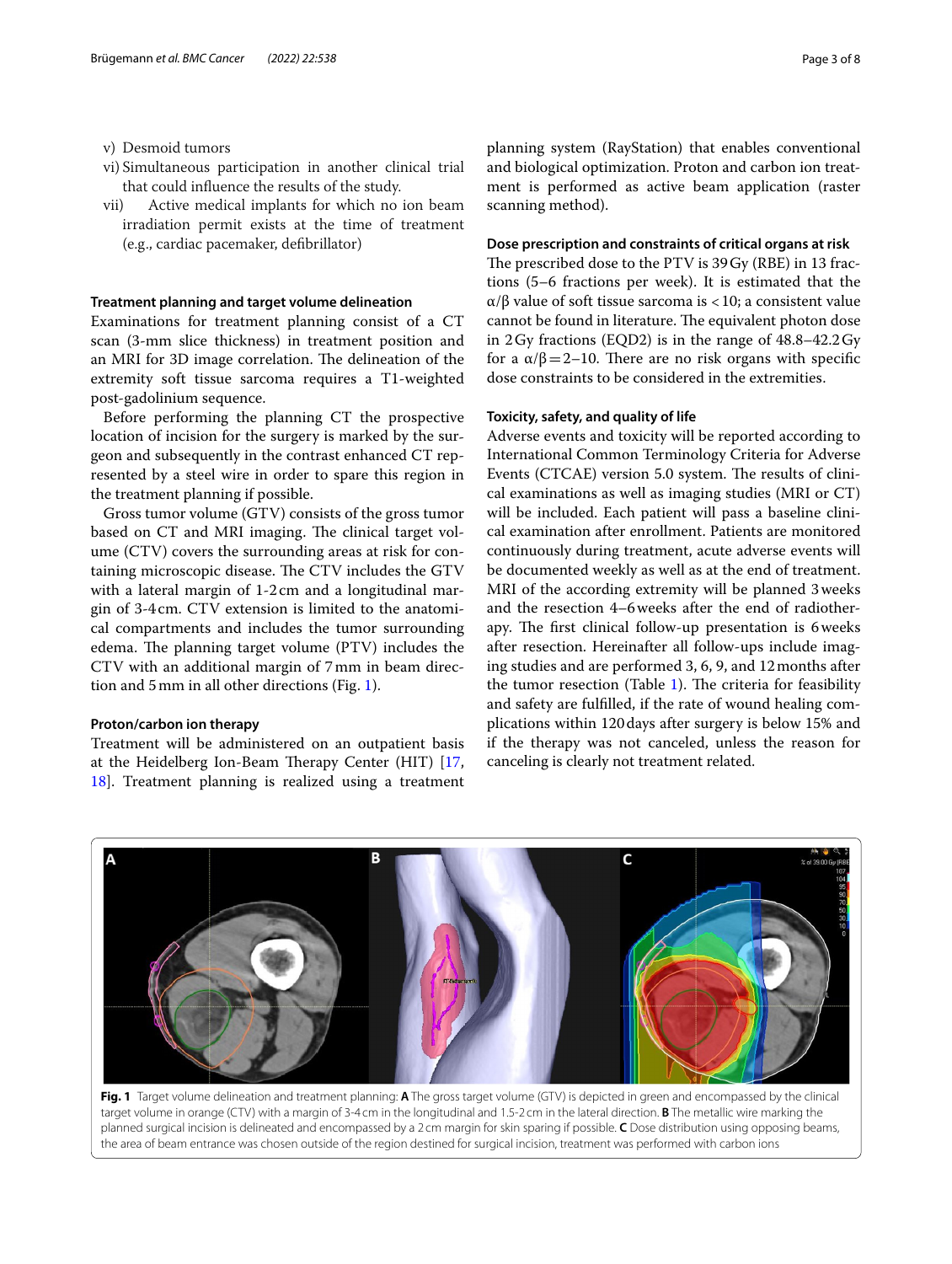v) Desmoid tumors

- vi) Simultaneous participation in another clinical trial that could infuence the results of the study.
- vii) Active medical implants for which no ion beam irradiation permit exists at the time of treatment (e.g., cardiac pacemaker, defbrillator)

#### **Treatment planning and target volume delineation**

Examinations for treatment planning consist of a CT scan (3-mm slice thickness) in treatment position and an MRI for 3D image correlation. The delineation of the extremity soft tissue sarcoma requires a T1-weighted post-gadolinium sequence.

Before performing the planning CT the prospective location of incision for the surgery is marked by the surgeon and subsequently in the contrast enhanced CT represented by a steel wire in order to spare this region in the treatment planning if possible.

Gross tumor volume (GTV) consists of the gross tumor based on CT and MRI imaging. The clinical target volume (CTV) covers the surrounding areas at risk for containing microscopic disease. The CTV includes the GTV with a lateral margin of 1-2 cm and a longitudinal margin of 3-4cm. CTV extension is limited to the anatomical compartments and includes the tumor surrounding edema. The planning target volume (PTV) includes the CTV with an additional margin of 7mm in beam direction and 5mm in all other directions (Fig. [1\)](#page-2-0).

#### **Proton/carbon ion therapy**

Treatment will be administered on an outpatient basis at the Heidelberg Ion-Beam Therapy Center (HIT)  $[17, 17]$  $[17, 17]$ [18\]](#page-7-15). Treatment planning is realized using a treatment planning system (RayStation) that enables conventional and biological optimization. Proton and carbon ion treatment is performed as active beam application (raster scanning method).

#### **Dose prescription and constraints of critical organs at risk**

The prescribed dose to the PTV is 39 Gy (RBE) in 13 fractions (5–6 fractions per week). It is estimated that the α/β value of soft tissue sarcoma is <10; a consistent value cannot be found in literature. The equivalent photon dose in 2Gy fractions (EQD2) is in the range of 48.8–42.2Gy for a  $α/β = 2-10$ . There are no risk organs with specific dose constraints to be considered in the extremities.

#### **Toxicity, safety, and quality of life**

Adverse events and toxicity will be reported according to International Common Terminology Criteria for Adverse Events (CTCAE) version 5.0 system. The results of clinical examinations as well as imaging studies (MRI or CT) will be included. Each patient will pass a baseline clinical examination after enrollment. Patients are monitored continuously during treatment, acute adverse events will be documented weekly as well as at the end of treatment. MRI of the according extremity will be planned 3weeks and the resection 4–6weeks after the end of radiotherapy. The first clinical follow-up presentation is 6 weeks after resection. Hereinafter all follow-ups include imaging studies and are performed 3, 6, 9, and 12months after the tumor resection (Table [1](#page-3-0)). The criteria for feasibility and safety are fulflled, if the rate of wound healing complications within 120days after surgery is below 15% and if the therapy was not canceled, unless the reason for canceling is clearly not treatment related.



<span id="page-2-0"></span>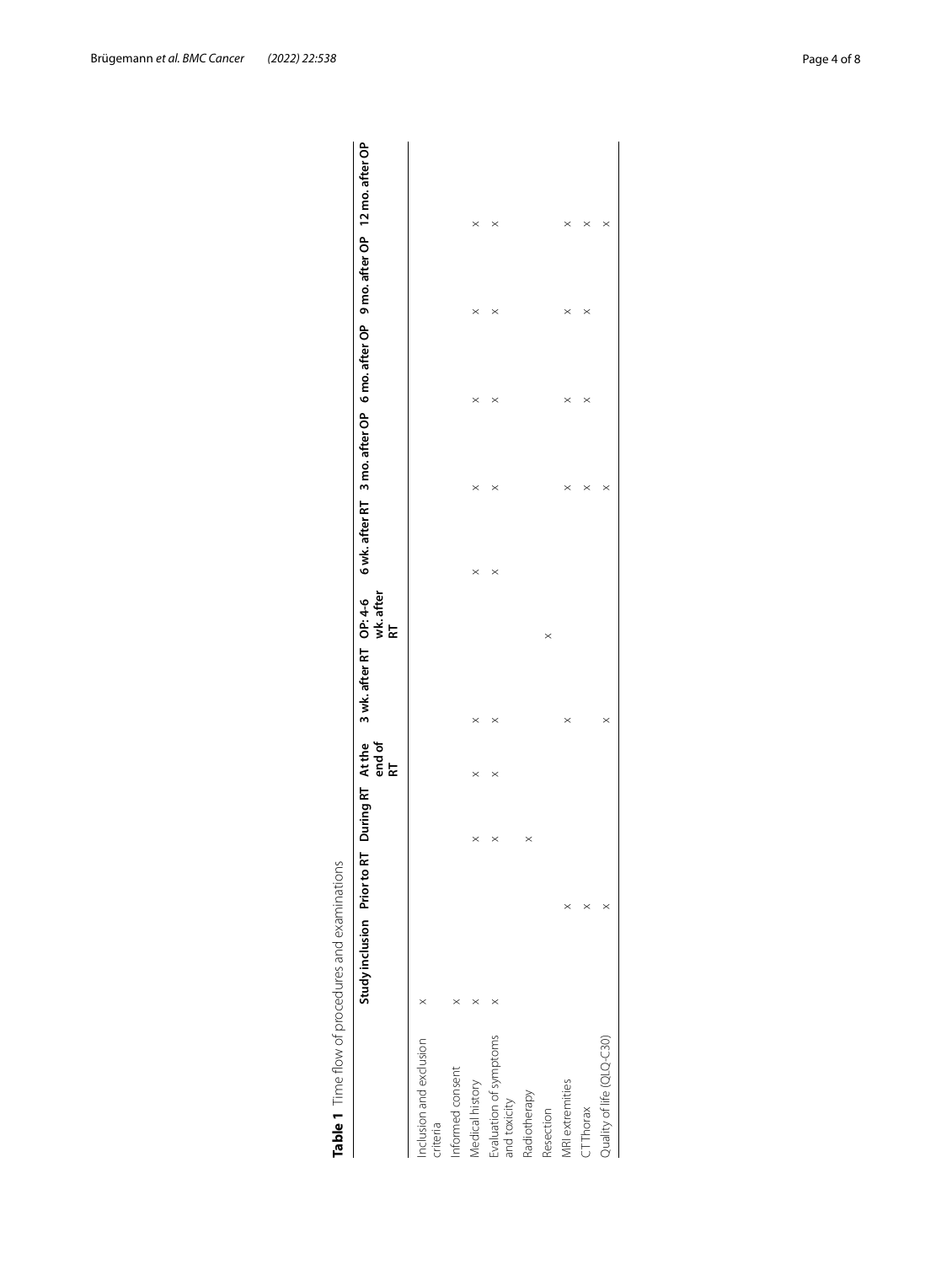|                                        | Study inclusion Prior to RT |          | During RT At the |             |          |                 |          |          |          |          | 3 wk. after RT OP: 4-6 6 wk. after RT 3 mo. after OP 6 mo. after OP 9 mo. after OP 12 mo. after OP |
|----------------------------------------|-----------------------------|----------|------------------|-------------|----------|-----------------|----------|----------|----------|----------|----------------------------------------------------------------------------------------------------|
|                                        |                             |          |                  | end of<br>눈 |          | wk. after<br>RT |          |          |          |          |                                                                                                    |
| Inclusion and exclusion<br>criteria    |                             |          |                  |             |          |                 |          |          |          |          |                                                                                                    |
| Informed consent                       |                             |          |                  |             |          |                 |          |          |          |          |                                                                                                    |
| Medical history                        |                             |          | $\times$         | $\times$    | $\times$ |                 | $\times$ | $\times$ | $\times$ | $\times$ | $\times$                                                                                           |
| Evaluation of symptoms<br>and toxicity |                             |          | $\times$         | $\times$    | $\times$ |                 | $\times$ | $\times$ | $\times$ | $\times$ | $\times$                                                                                           |
| Radiotherapy                           |                             |          | $\times$         |             |          |                 |          |          |          |          |                                                                                                    |
| Resection                              |                             |          |                  |             |          | $\times$        |          |          |          |          |                                                                                                    |
| <b>VRI</b> extremities                 |                             | $\times$ |                  |             | $\times$ |                 |          | $\times$ | $\times$ | $\times$ | $\times$                                                                                           |
| $T$ Thorax                             |                             |          |                  |             |          |                 |          | $\times$ | $\times$ | $\times$ | $\times$                                                                                           |
| Quality of life (QLQ-C30)              |                             |          |                  |             | $\times$ |                 |          | $\times$ |          |          | ×                                                                                                  |

<span id="page-3-0"></span>

| ころ                                                                                                             |  |
|----------------------------------------------------------------------------------------------------------------|--|
|                                                                                                                |  |
|                                                                                                                |  |
|                                                                                                                |  |
|                                                                                                                |  |
|                                                                                                                |  |
|                                                                                                                |  |
|                                                                                                                |  |
|                                                                                                                |  |
| ranger hot he san de andere van de san de san de san de san de san de san de san de san de san de san de san d |  |
|                                                                                                                |  |
|                                                                                                                |  |
|                                                                                                                |  |
|                                                                                                                |  |
|                                                                                                                |  |
|                                                                                                                |  |
|                                                                                                                |  |
|                                                                                                                |  |
|                                                                                                                |  |
|                                                                                                                |  |
|                                                                                                                |  |
|                                                                                                                |  |
|                                                                                                                |  |
|                                                                                                                |  |
|                                                                                                                |  |
|                                                                                                                |  |
| )<br>)<br>)<br>)                                                                                               |  |
|                                                                                                                |  |
|                                                                                                                |  |
|                                                                                                                |  |
|                                                                                                                |  |
| i<br>Co                                                                                                        |  |
|                                                                                                                |  |
|                                                                                                                |  |
|                                                                                                                |  |
| ۱                                                                                                              |  |
|                                                                                                                |  |
|                                                                                                                |  |
|                                                                                                                |  |
|                                                                                                                |  |
|                                                                                                                |  |
|                                                                                                                |  |
|                                                                                                                |  |
|                                                                                                                |  |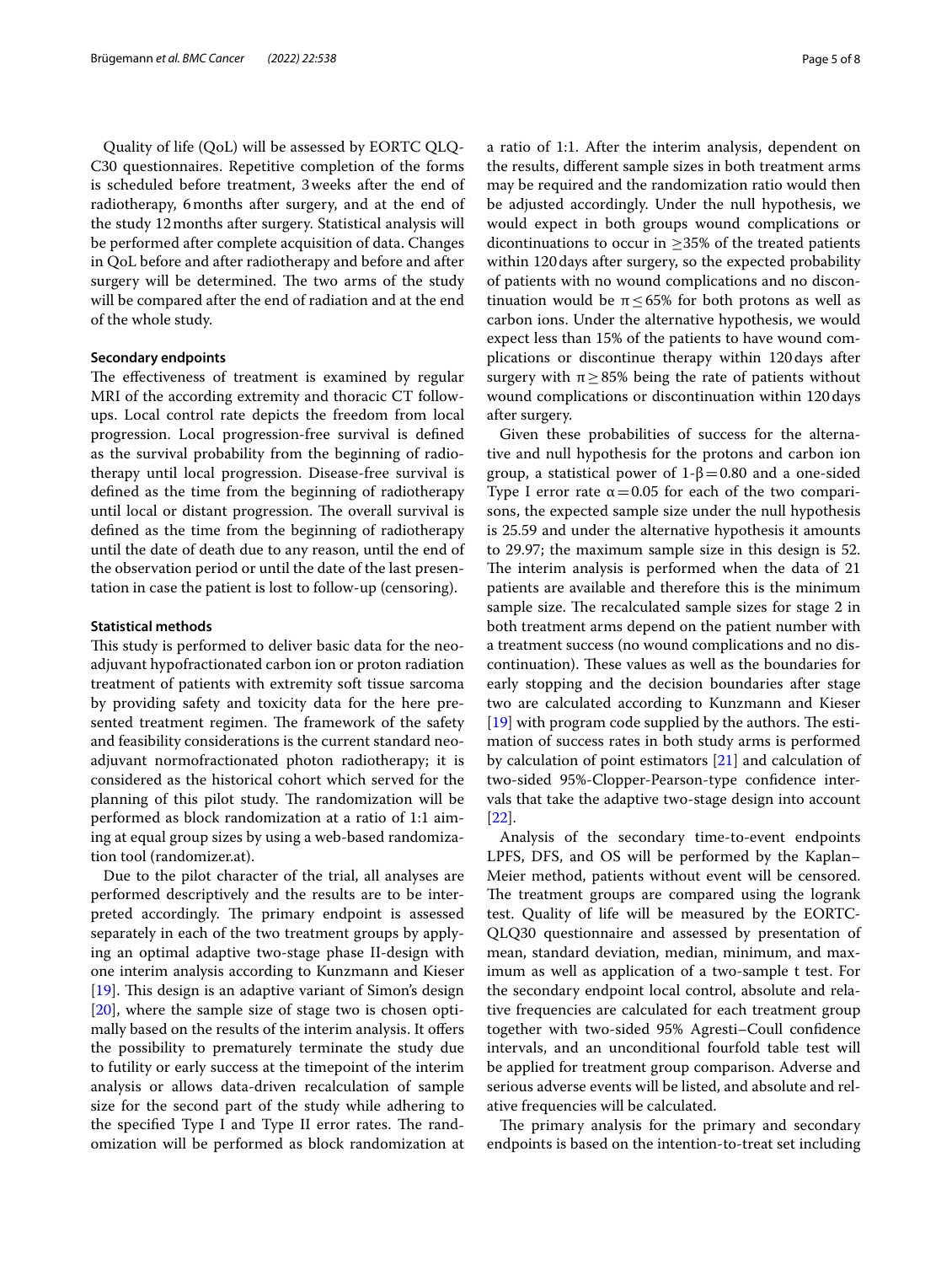Quality of life (QoL) will be assessed by EORTC QLQ-C30 questionnaires. Repetitive completion of the forms is scheduled before treatment, 3weeks after the end of radiotherapy, 6months after surgery, and at the end of the study 12months after surgery. Statistical analysis will be performed after complete acquisition of data. Changes in QoL before and after radiotherapy and before and after surgery will be determined. The two arms of the study will be compared after the end of radiation and at the end of the whole study.

#### **Secondary endpoints**

The effectiveness of treatment is examined by regular MRI of the according extremity and thoracic CT followups. Local control rate depicts the freedom from local progression. Local progression-free survival is defned as the survival probability from the beginning of radiotherapy until local progression. Disease-free survival is defned as the time from the beginning of radiotherapy until local or distant progression. The overall survival is defned as the time from the beginning of radiotherapy until the date of death due to any reason, until the end of the observation period or until the date of the last presentation in case the patient is lost to follow-up (censoring).

#### **Statistical methods**

This study is performed to deliver basic data for the neoadjuvant hypofractionated carbon ion or proton radiation treatment of patients with extremity soft tissue sarcoma by providing safety and toxicity data for the here presented treatment regimen. The framework of the safety and feasibility considerations is the current standard neoadjuvant normofractionated photon radiotherapy; it is considered as the historical cohort which served for the planning of this pilot study. The randomization will be performed as block randomization at a ratio of 1:1 aiming at equal group sizes by using a web-based randomization tool (randomizer.at).

Due to the pilot character of the trial, all analyses are performed descriptively and the results are to be interpreted accordingly. The primary endpoint is assessed separately in each of the two treatment groups by applying an optimal adaptive two-stage phase II-design with one interim analysis according to Kunzmann and Kieser  $[19]$  $[19]$ . This design is an adaptive variant of Simon's design [[20\]](#page-7-17), where the sample size of stage two is chosen optimally based on the results of the interim analysis. It ofers the possibility to prematurely terminate the study due to futility or early success at the timepoint of the interim analysis or allows data-driven recalculation of sample size for the second part of the study while adhering to the specified Type I and Type II error rates. The randomization will be performed as block randomization at a ratio of 1:1. After the interim analysis, dependent on the results, diferent sample sizes in both treatment arms may be required and the randomization ratio would then be adjusted accordingly. Under the null hypothesis, we would expect in both groups wound complications or dicontinuations to occur in  $\geq$ 35% of the treated patients within 120days after surgery, so the expected probability of patients with no wound complications and no discontinuation would be  $\pi \leq 65\%$  for both protons as well as carbon ions. Under the alternative hypothesis, we would expect less than 15% of the patients to have wound complications or discontinue therapy within 120days after surgery with  $\pi \geq 85\%$  being the rate of patients without wound complications or discontinuation within 120days after surgery.

Given these probabilities of success for the alternative and null hypothesis for the protons and carbon ion group, a statistical power of 1-β=0.80 and a one-sided Type I error rate  $\alpha = 0.05$  for each of the two comparisons, the expected sample size under the null hypothesis is 25.59 and under the alternative hypothesis it amounts to 29.97; the maximum sample size in this design is 52. The interim analysis is performed when the data of 21 patients are available and therefore this is the minimum sample size. The recalculated sample sizes for stage 2 in both treatment arms depend on the patient number with a treatment success (no wound complications and no discontinuation). These values as well as the boundaries for early stopping and the decision boundaries after stage two are calculated according to Kunzmann and Kieser  $[19]$  $[19]$  with program code supplied by the authors. The estimation of success rates in both study arms is performed by calculation of point estimators [\[21\]](#page-7-18) and calculation of two-sided 95%-Clopper-Pearson-type confdence intervals that take the adaptive two-stage design into account [[22\]](#page-7-19).

Analysis of the secondary time-to-event endpoints LPFS, DFS, and OS will be performed by the Kaplan– Meier method, patients without event will be censored. The treatment groups are compared using the logrank test. Quality of life will be measured by the EORTC-QLQ30 questionnaire and assessed by presentation of mean, standard deviation, median, minimum, and maximum as well as application of a two-sample t test. For the secondary endpoint local control, absolute and relative frequencies are calculated for each treatment group together with two-sided 95% Agresti–Coull confdence intervals, and an unconditional fourfold table test will be applied for treatment group comparison. Adverse and serious adverse events will be listed, and absolute and relative frequencies will be calculated.

The primary analysis for the primary and secondary endpoints is based on the intention-to-treat set including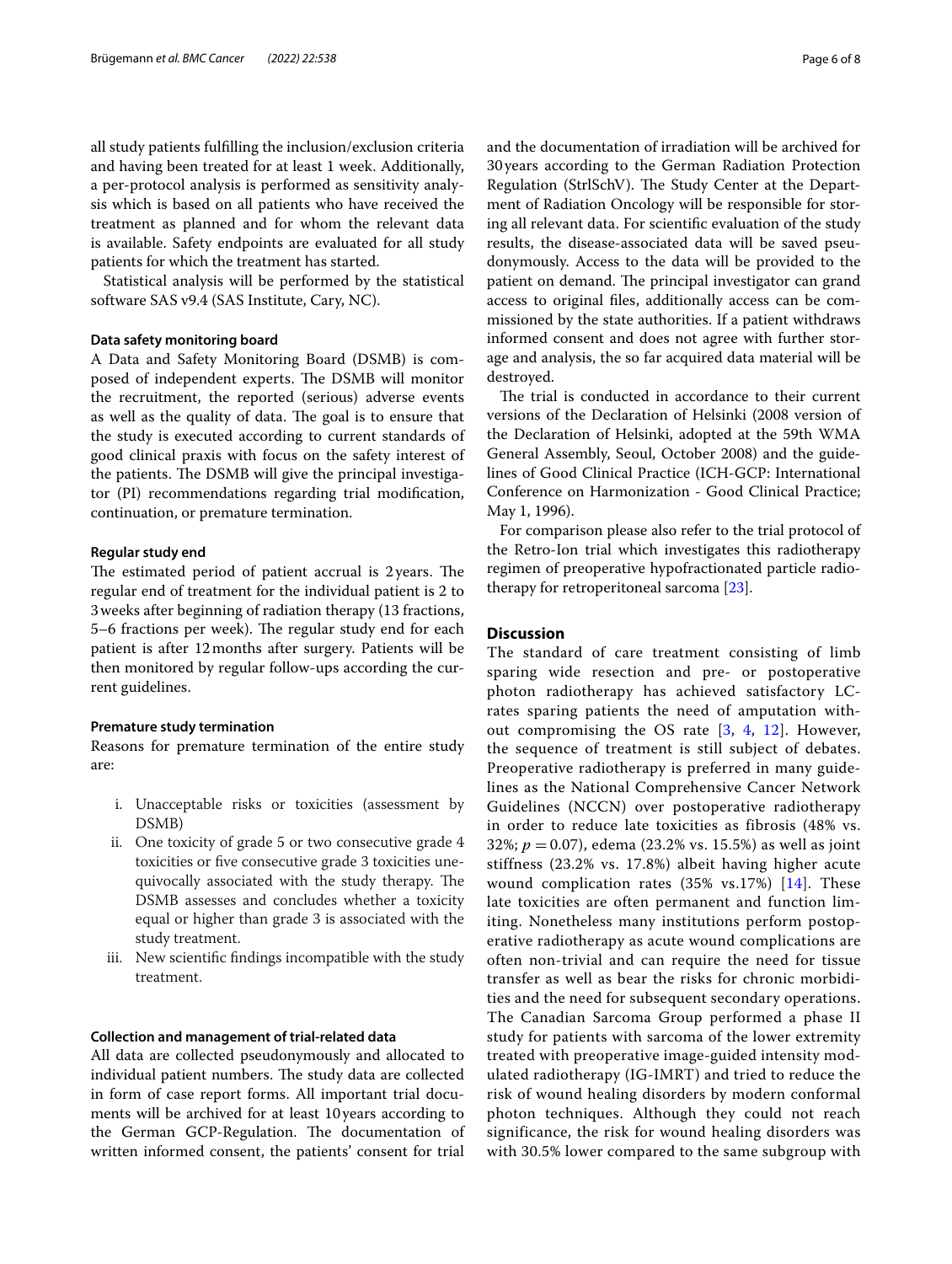all study patients fulflling the inclusion/exclusion criteria and having been treated for at least 1 week. Additionally, a per-protocol analysis is performed as sensitivity analysis which is based on all patients who have received the treatment as planned and for whom the relevant data is available. Safety endpoints are evaluated for all study patients for which the treatment has started.

Statistical analysis will be performed by the statistical software SAS v9.4 (SAS Institute, Cary, NC).

#### **Data safety monitoring board**

A Data and Safety Monitoring Board (DSMB) is composed of independent experts. The DSMB will monitor the recruitment, the reported (serious) adverse events as well as the quality of data. The goal is to ensure that the study is executed according to current standards of good clinical praxis with focus on the safety interest of the patients. The DSMB will give the principal investigator (PI) recommendations regarding trial modifcation, continuation, or premature termination.

#### **Regular study end**

The estimated period of patient accrual is  $2$  years. The regular end of treatment for the individual patient is 2 to 3weeks after beginning of radiation therapy (13 fractions, 5–6 fractions per week). The regular study end for each patient is after 12months after surgery. Patients will be then monitored by regular follow-ups according the current guidelines.

#### **Premature study termination**

Reasons for premature termination of the entire study are:

- i. Unacceptable risks or toxicities (assessment by DSMB)
- ii. One toxicity of grade 5 or two consecutive grade 4 toxicities or fve consecutive grade 3 toxicities unequivocally associated with the study therapy. The DSMB assesses and concludes whether a toxicity equal or higher than grade 3 is associated with the study treatment.
- iii. New scientifc fndings incompatible with the study treatment.

#### **Collection and management of trial-related data**

All data are collected pseudonymously and allocated to individual patient numbers. The study data are collected in form of case report forms. All important trial documents will be archived for at least 10 years according to the German GCP-Regulation. The documentation of written informed consent, the patients' consent for trial and the documentation of irradiation will be archived for 30years according to the German Radiation Protection Regulation (StrlSchV). The Study Center at the Department of Radiation Oncology will be responsible for storing all relevant data. For scientifc evaluation of the study results, the disease-associated data will be saved pseudonymously. Access to the data will be provided to the patient on demand. The principal investigator can grand access to original fles, additionally access can be commissioned by the state authorities. If a patient withdraws informed consent and does not agree with further storage and analysis, the so far acquired data material will be destroyed.

The trial is conducted in accordance to their current versions of the Declaration of Helsinki (2008 version of the Declaration of Helsinki, adopted at the 59th WMA General Assembly, Seoul, October 2008) and the guidelines of Good Clinical Practice (ICH-GCP: International Conference on Harmonization - Good Clinical Practice; May 1, 1996).

For comparison please also refer to the trial protocol of the Retro-Ion trial which investigates this radiotherapy regimen of preoperative hypofractionated particle radiotherapy for retroperitoneal sarcoma [[23\]](#page-7-20).

#### **Discussion**

The standard of care treatment consisting of limb sparing wide resection and pre- or postoperative photon radiotherapy has achieved satisfactory LCrates sparing patients the need of amputation without compromising the OS rate [[3,](#page-7-2) [4](#page-7-3), [12\]](#page-7-8). However, the sequence of treatment is still subject of debates. Preoperative radiotherapy is preferred in many guidelines as the National Comprehensive Cancer Network Guidelines (NCCN) over postoperative radiotherapy in order to reduce late toxicities as fibrosis (48% vs. 32%; *p* = 0.07), edema (23.2% vs. 15.5%) as well as joint stiffness (23.2% vs. 17.8%) albeit having higher acute wound complication rates (35% vs.17%) [[14](#page-7-11)]. These late toxicities are often permanent and function limiting. Nonetheless many institutions perform postoperative radiotherapy as acute wound complications are often non-trivial and can require the need for tissue transfer as well as bear the risks for chronic morbidities and the need for subsequent secondary operations. The Canadian Sarcoma Group performed a phase II study for patients with sarcoma of the lower extremity treated with preoperative image-guided intensity modulated radiotherapy (IG-IMRT) and tried to reduce the risk of wound healing disorders by modern conformal photon techniques. Although they could not reach significance, the risk for wound healing disorders was with 30.5% lower compared to the same subgroup with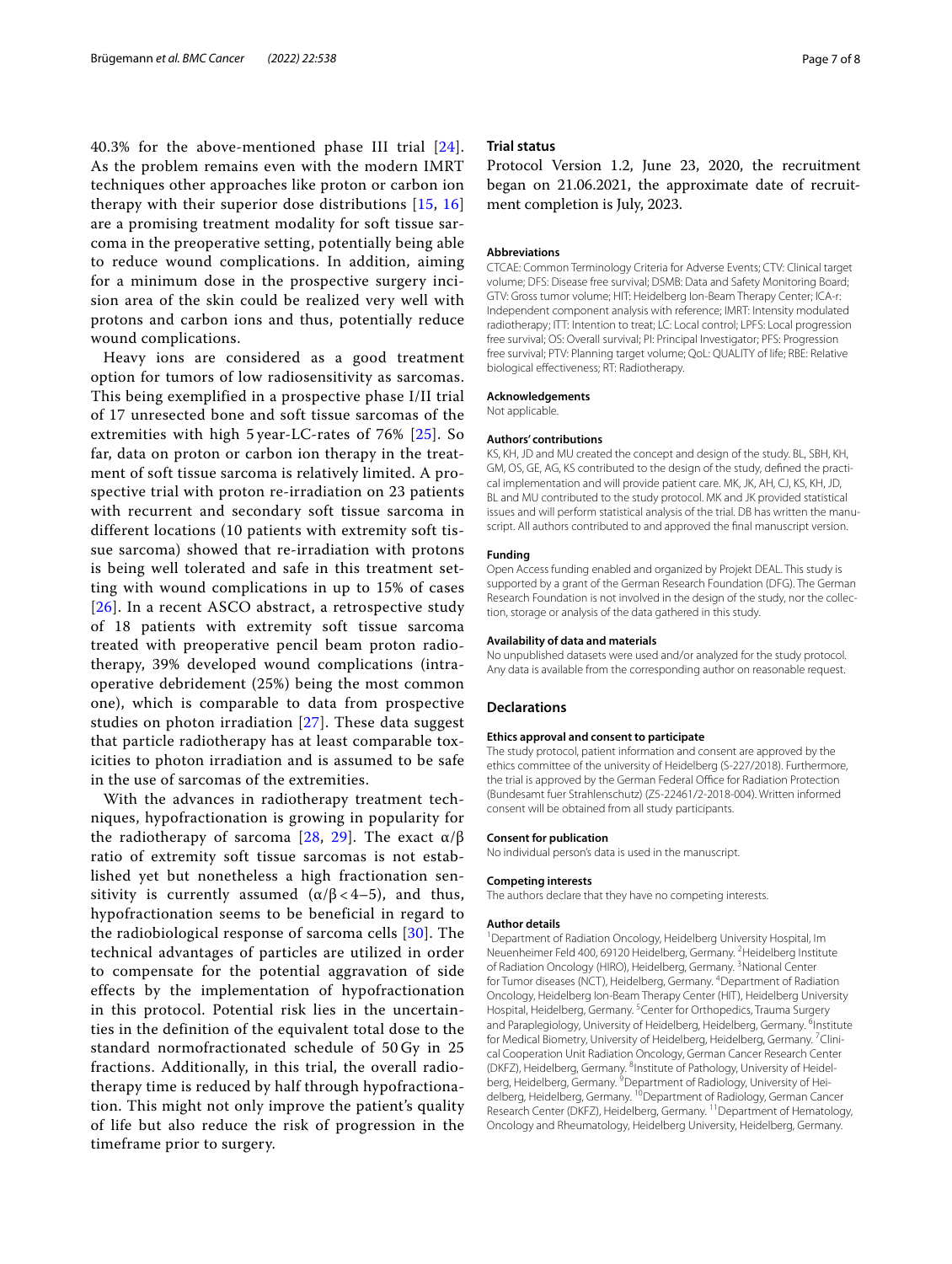40.3% for the above-mentioned phase III trial [[24\]](#page-7-21). As the problem remains even with the modern IMRT techniques other approaches like proton or carbon ion therapy with their superior dose distributions [\[15](#page-7-12), [16](#page-7-13)] are a promising treatment modality for soft tissue sarcoma in the preoperative setting, potentially being able to reduce wound complications. In addition, aiming for a minimum dose in the prospective surgery incision area of the skin could be realized very well with protons and carbon ions and thus, potentially reduce wound complications.

Heavy ions are considered as a good treatment option for tumors of low radiosensitivity as sarcomas. This being exemplified in a prospective phase I/II trial of 17 unresected bone and soft tissue sarcomas of the extremities with high 5 year-LC-rates of 76% [[25](#page-7-22)]. So far, data on proton or carbon ion therapy in the treatment of soft tissue sarcoma is relatively limited. A prospective trial with proton re-irradiation on 23 patients with recurrent and secondary soft tissue sarcoma in different locations (10 patients with extremity soft tissue sarcoma) showed that re-irradiation with protons is being well tolerated and safe in this treatment setting with wound complications in up to 15% of cases [[26](#page-7-23)]. In a recent ASCO abstract, a retrospective study of 18 patients with extremity soft tissue sarcoma treated with preoperative pencil beam proton radiotherapy, 39% developed wound complications (intraoperative debridement (25%) being the most common one), which is comparable to data from prospective studies on photon irradiation [[27](#page-7-24)]. These data suggest that particle radiotherapy has at least comparable toxicities to photon irradiation and is assumed to be safe in the use of sarcomas of the extremities.

With the advances in radiotherapy treatment techniques, hypofractionation is growing in popularity for the radiotherapy of sarcoma [[28](#page-7-25), [29](#page-7-26)]. The exact  $α/β$ ratio of extremity soft tissue sarcomas is not established yet but nonetheless a high fractionation sensitivity is currently assumed  $(\alpha/\beta < 4-5)$ , and thus, hypofractionation seems to be beneficial in regard to the radiobiological response of sarcoma cells [[30](#page-7-27)]. The technical advantages of particles are utilized in order to compensate for the potential aggravation of side effects by the implementation of hypofractionation in this protocol. Potential risk lies in the uncertainties in the definition of the equivalent total dose to the standard normofractionated schedule of 50 Gy in 25 fractions. Additionally, in this trial, the overall radiotherapy time is reduced by half through hypofractionation. This might not only improve the patient's quality of life but also reduce the risk of progression in the timeframe prior to surgery.

#### **Trial status**

Protocol Version 1.2, June 23, 2020, the recruitment began on 21.06.2021, the approximate date of recruitment completion is July, 2023.

#### **Abbreviations**

CTCAE: Common Terminology Criteria for Adverse Events; CTV: Clinical target volume; DFS: Disease free survival; DSMB: Data and Safety Monitoring Board; GTV: Gross tumor volume; HIT: Heidelberg Ion-Beam Therapy Center; ICA-r: Independent component analysis with reference; IMRT: Intensity modulated radiotherapy; ITT: Intention to treat; LC: Local control; LPFS: Local progression free survival; OS: Overall survival; PI: Principal Investigator; PFS: Progression free survival; PTV: Planning target volume; QoL: QUALITY of life; RBE: Relative biological efectiveness; RT: Radiotherapy.

#### **Acknowledgements**

Not applicable.

#### **Authors' contributions**

KS, KH, JD and MU created the concept and design of the study. BL, SBH, KH, GM, OS, GE, AG, KS contributed to the design of the study, defned the practical implementation and will provide patient care. MK, JK, AH, CJ, KS, KH, JD, BL and MU contributed to the study protocol. MK and JK provided statistical issues and will perform statistical analysis of the trial. DB has written the manuscript. All authors contributed to and approved the fnal manuscript version.

#### **Funding**

Open Access funding enabled and organized by Projekt DEAL. This study is supported by a grant of the German Research Foundation (DFG). The German Research Foundation is not involved in the design of the study, nor the collection, storage or analysis of the data gathered in this study.

#### **Availability of data and materials**

No unpublished datasets were used and/or analyzed for the study protocol. Any data is available from the corresponding author on reasonable request.

#### **Declarations**

#### **Ethics approval and consent to participate**

The study protocol, patient information and consent are approved by the ethics committee of the university of Heidelberg (S-227/2018). Furthermore, the trial is approved by the German Federal Office for Radiation Protection (Bundesamt fuer Strahlenschutz) (Z5-22461/2-2018-004). Written informed consent will be obtained from all study participants.

#### **Consent for publication**

No individual person's data is used in the manuscript.

#### **Competing interests**

The authors declare that they have no competing interests.

#### **Author details**

<sup>1</sup> Department of Radiation Oncology, Heidelberg University Hospital, Im Neuenheimer Feld 400, 69120 Heidelberg, Germany. <sup>2</sup> Heidelberg Institute of Radiation Oncology (HIRO), Heidelberg, Germany. <sup>3</sup>National Center for Tumor diseases (NCT), Heidelberg, Germany. <sup>4</sup> Department of Radiation Oncology, Heidelberg Ion-Beam Therapy Center (HIT), Heidelberg University Hospital, Heidelberg, Germany. <sup>5</sup> Center for Orthopedics, Trauma Surgery and Paraplegiology, University of Heidelberg, Heidelberg, Germany. <sup>6</sup>Institute for Medical Biometry, University of Heidelberg, Heidelberg, Germany. <sup>7</sup>Clinical Cooperation Unit Radiation Oncology, German Cancer Research Center (DKFZ), Heidelberg, Germany. <sup>8</sup>Institute of Pathology, University of Heidelberg, Heidelberg, Germany. <sup>9</sup> Department of Radiology, University of Heidelberg, Heidelberg, Germany. <sup>10</sup> Department of Radiology, German Cancer Research Center (DKFZ), Heidelberg, Germany. <sup>11</sup> Department of Hematology, Oncology and Rheumatology, Heidelberg University, Heidelberg, Germany.